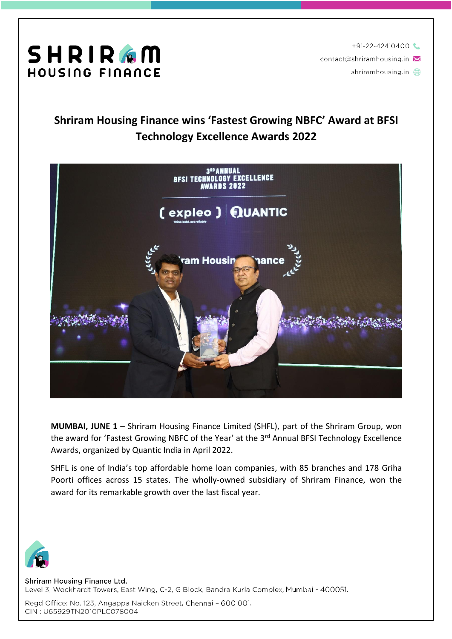

 $+91-22-42410400$ contact@shriramhousing.in

shriramhousing.in **A** 

### **Shriram Housing Finance wins 'Fastest Growing NBFC' Award at BFSI Technology Excellence Awards 2022**



**MUMBAI, JUNE 1** – Shriram Housing Finance Limited (SHFL), part of the Shriram Group, won the award for 'Fastest Growing NBFC of the Year' at the 3<sup>rd</sup> Annual BFSI Technology Excellence Awards, organized by Quantic India in April 2022.

SHFL is one of India's top affordable home loan companies, with 85 branches and 178 Griha Poorti offices across 15 states. The wholly-owned subsidiary of Shriram Finance, won the award for its remarkable growth over the last fiscal year.



Shriram Housing Finance Ltd. Level 3, Wockhardt Towers, East Wing, C-2, G Block, Bandra Kurla Complex, Mumbai - 400051.

Regd Office: No. 123, Angappa Naicken Street, Chennai - 600 001. CIN: U65929TN2010PLC078004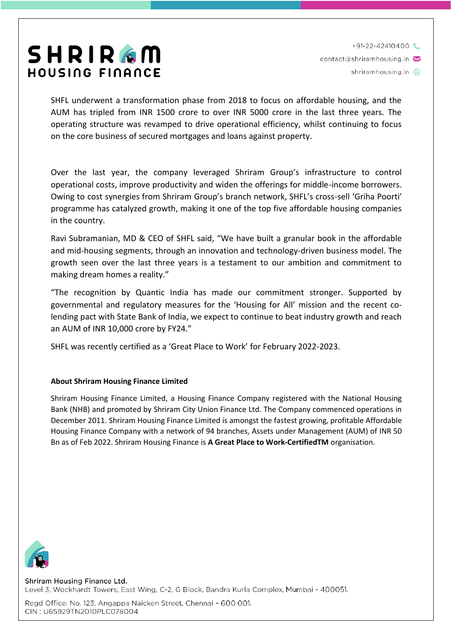# SHRIRGM HOUSING FINANCE

 $+91-22-42410400$ contact@shriramhousing.in shriramhousing.in  $\oplus$ 

SHFL underwent a transformation phase from 2018 to focus on affordable housing, and the AUM has tripled from INR 1500 crore to over INR 5000 crore in the last three years. The operating structure was revamped to drive operational efficiency, whilst continuing to focus on the core business of secured mortgages and loans against property.

Over the last year, the company leveraged Shriram Group's infrastructure to control operational costs, improve productivity and widen the offerings for middle-income borrowers. Owing to cost synergies from Shriram Group's branch network, SHFL's cross-sell 'Griha Poorti' programme has catalyzed growth, making it one of the top five affordable housing companies in the country.

Ravi Subramanian, MD & CEO of SHFL said, "We have built a granular book in the affordable and mid-housing segments, through an innovation and technology-driven business model. The growth seen over the last three years is a testament to our ambition and commitment to making dream homes a reality."

"The recognition by Quantic India has made our commitment stronger. Supported by governmental and regulatory measures for the 'Housing for All' mission and the recent colending pact with State Bank of India, we expect to continue to beat industry growth and reach an AUM of INR 10,000 crore by FY24."

SHFL was recently certified as a 'Great Place to Work' for February 2022-2023.

### **About Shriram Housing Finance Limited**

Shriram Housing Finance Limited, a Housing Finance Company registered with the National Housing Bank (NHB) and promoted by Shriram City Union Finance Ltd. The Company commenced operations in December 2011. Shriram Housing Finance Limited is amongst the fastest growing, profitable Affordable Housing Finance Company with a network of 94 branches, Assets under Management (AUM) of INR 50 Bn as of Feb 2022. Shriram Housing Finance is **A Great Place to Work-CertifiedTM** organisation.



Shriram Housing Finance Ltd. Level 3, Wockhardt Towers, East Wing, C-2, G Block, Bandra Kurla Complex, Mumbai - 400051.

Regd Office: No. 123, Angappa Naicken Street, Chennai - 600 001. CIN: U65929TN2010PLC078004